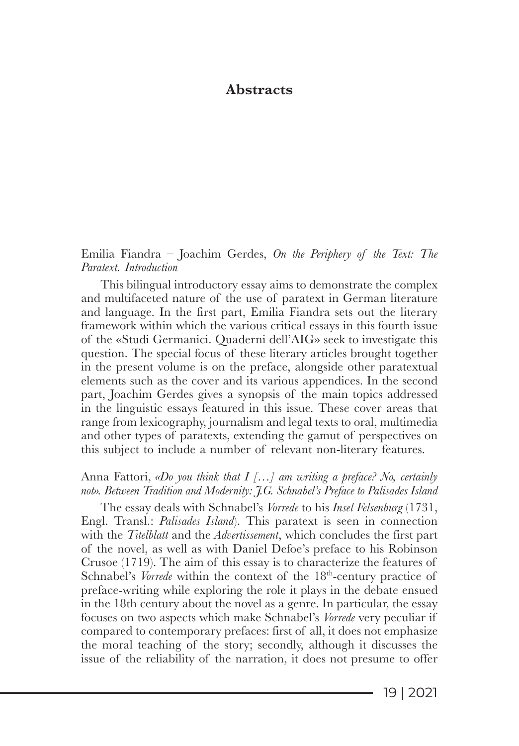# **Abstracts**

Emilia Fiandra – Joachim Gerdes, *On the Periphery of the Text: The Paratext. Introduction*

This bilingual introductory essay aims to demonstrate the complex and multifaceted nature of the use of paratext in German literature and language. In the first part, Emilia Fiandra sets out the literary framework within which the various critical essays in this fourth issue of the «Studi Germanici. Quaderni dell'AIG» seek to investigate this question. The special focus of these literary articles brought together in the present volume is on the preface, alongside other paratextual elements such as the cover and its various appendices. In the second part, Joachim Gerdes gives a synopsis of the main topics addressed in the linguistic essays featured in this issue. These cover areas that range from lexicography, journalism and legal texts to oral, multimedia and other types of paratexts, extending the gamut of perspectives on this subject to include a number of relevant non-literary features.

Anna Fattori, *«Do you think that I […] am writing a preface? No, certainly not». Between Tradition and Modernity: J.G. Schnabel's Preface to Palisades Island*

The essay deals with Schnabel's *Vorrede* to his *Insel Felsenburg* (1731, Engl. Transl.: *Palisades Island*). This paratext is seen in connection with the *Titelblatt* and the *Advertissement*, which concludes the first part of the novel, as well as with Daniel Defoe's preface to his Robinson Crusoe (1719). The aim of this essay is to characterize the features of Schnabel's *Vorrede* within the context of the 18<sup>th</sup>-century practice of preface-writing while exploring the role it plays in the debate ensued in the 18th century about the novel as a genre. In particular, the essay focuses on two aspects which make Schnabel's *Vorrede* very peculiar if compared to contemporary prefaces: first of all, it does not emphasize the moral teaching of the story; secondly, although it discusses the issue of the reliability of the narration, it does not presume to offer

19 | 2021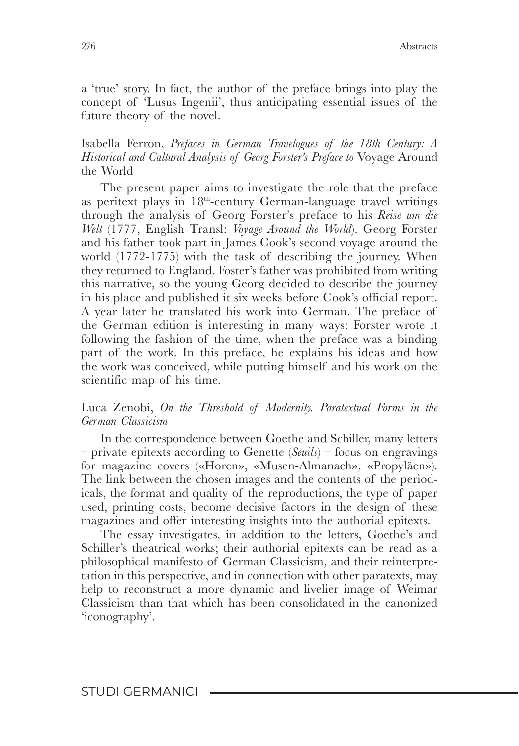a 'true' story. In fact, the author of the preface brings into play the concept of 'Lusus Ingenii', thus anticipating essential issues of the future theory of the novel.

Isabella Ferron, *Prefaces in German Travelogues of the 18th Century: A Historical and Cultural Analysis of Georg Forster's Preface to* Voyage Around the World

The present paper aims to investigate the role that the preface as peritext plays in 18<sup>th</sup>-century German-language travel writings through the analysis of Georg Forster's preface to his *Reise um die Welt* (1777, English Transl: *Voyage Around the World*). Georg Forster and his father took part in James Cook's second voyage around the world (1772-1775) with the task of describing the journey. When they returned to England, Foster's father was prohibited from writing this narrative, so the young Georg decided to describe the journey in his place and published it six weeks before Cook's official report. A year later he translated his work into German. The preface of the German edition is interesting in many ways: Forster wrote it following the fashion of the time, when the preface was a binding part of the work. In this preface, he explains his ideas and how the work was conceived, while putting himself and his work on the scientific map of his time.

### Luca Zenobi, *On the Threshold of Modernity. Paratextual Forms in the German Classicism*

In the correspondence between Goethe and Schiller, many letters – private epitexts according to Genette (*Seuils*) – focus on engravings for magazine covers («Horen», «Musen-Almanach», «Propyläen»). The link between the chosen images and the contents of the periodicals, the format and quality of the reproductions, the type of paper used, printing costs, become decisive factors in the design of these magazines and offer interesting insights into the authorial epitexts.

The essay investigates, in addition to the letters, Goethe's and Schiller's theatrical works; their authorial epitexts can be read as a philosophical manifesto of German Classicism, and their reinterpretation in this perspective, and in connection with other paratexts, may help to reconstruct a more dynamic and livelier image of Weimar Classicism than that which has been consolidated in the canonized 'iconography'.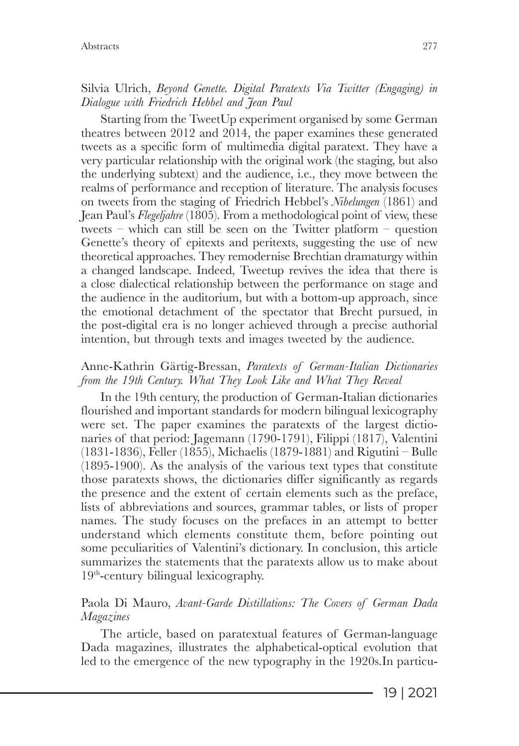# Silvia Ulrich, *Beyond Genette. Digital Paratexts Via Twitter (Engaging) in Dialogue with Friedrich Hebbel and Jean Paul*

Starting from the TweetUp experiment organised by some German theatres between 2012 and 2014, the paper examines these generated tweets as a specific form of multimedia digital paratext. They have a very particular relationship with the original work (the staging, but also the underlying subtext) and the audience, i.e., they move between the realms of performance and reception of literature. The analysis focuses on tweets from the staging of Friedrich Hebbel's *Nibelungen* (1861) and Jean Paul's *Flegeljahre* (1805). From a methodological point of view, these tweets – which can still be seen on the Twitter platform – question Genette's theory of epitexts and peritexts, suggesting the use of new theoretical approaches. They remodernise Brechtian dramaturgy within a changed landscape. Indeed, Tweetup revives the idea that there is a close dialectical relationship between the performance on stage and the audience in the auditorium, but with a bottom-up approach, since the emotional detachment of the spectator that Brecht pursued, in the post-digital era is no longer achieved through a precise authorial intention, but through texts and images tweeted by the audience.

# Anne-Kathrin Gärtig-Bressan, *Paratexts of German-Italian Dictionaries from the 19th Century. What They Look Like and What They Reveal*

In the 19th century, the production of German-Italian dictionaries flourished and important standards for modern bilingual lexicography were set. The paper examines the paratexts of the largest dictionaries of that period: Jagemann (1790-1791), Filippi (1817), Valentini (1831-1836), Feller (1855), Michaelis (1879-1881) and Rigutini – Bulle (1895-1900). As the analysis of the various text types that constitute those paratexts shows, the dictionaries differ significantly as regards the presence and the extent of certain elements such as the preface, lists of abbreviations and sources, grammar tables, or lists of proper names. The study focuses on the prefaces in an attempt to better understand which elements constitute them, before pointing out some peculiarities of Valentini's dictionary. In conclusion, this article summarizes the statements that the paratexts allow us to make about 19th-century bilingual lexicography.

# Paola Di Mauro, *Avant-Garde Distillations: The Covers of German Dada Magazines*

The article, based on paratextual features of German-language Dada magazines, illustrates the alphabetical-optical evolution that led to the emergence of the new typography in the 1920s.In particu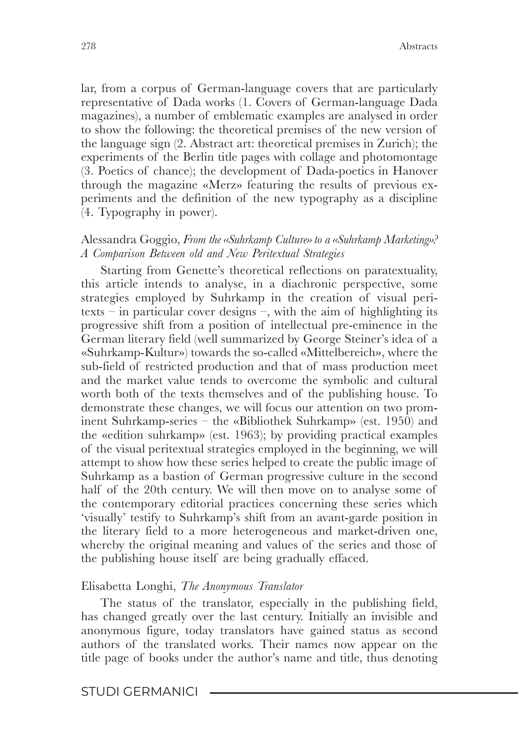lar, from a corpus of German-language covers that are particularly representative of Dada works (1. Covers of German-language Dada magazines), a number of emblematic examples are analysed in order to show the following: the theoretical premises of the new version of the language sign (2. Abstract art: theoretical premises in Zurich); the experiments of the Berlin title pages with collage and photomontage (3. Poetics of chance); the development of Dada-poetics in Hanover through the magazine «Merz» featuring the results of previous experiments and the definition of the new typography as a discipline (4. Typography in power).

#### Alessandra Goggio, *From the «Suhrkamp Culture» to a «Suhrkamp Marketing»? A Comparison Between old and New Peritextual Strategies*

Starting from Genette's theoretical reflections on paratextuality, this article intends to analyse, in a diachronic perspective, some strategies employed by Suhrkamp in the creation of visual peritexts – in particular cover designs –, with the aim of highlighting its progressive shift from a position of intellectual pre-eminence in the German literary field (well summarized by George Steiner's idea of a «Suhrkamp-Kultur») towards the so-called «Mittelbereich», where the sub-field of restricted production and that of mass production meet and the market value tends to overcome the symbolic and cultural worth both of the texts themselves and of the publishing house. To demonstrate these changes, we will focus our attention on two prominent Suhrkamp-series – the «Bibliothek Suhrkamp» (est. 1950) and the «edition suhrkamp» (est. 1963); by providing practical examples of the visual peritextual strategies employed in the beginning, we will attempt to show how these series helped to create the public image of Suhrkamp as a bastion of German progressive culture in the second half of the 20th century. We will then move on to analyse some of the contemporary editorial practices concerning these series which 'visually' testify to Suhrkamp's shift from an avant-garde position in the literary field to a more heterogeneous and market-driven one, whereby the original meaning and values of the series and those of the publishing house itself are being gradually effaced.

#### Elisabetta Longhi, *The Anonymous Translator*

The status of the translator, especially in the publishing field, has changed greatly over the last century. Initially an invisible and anonymous figure, today translators have gained status as second authors of the translated works. Their names now appear on the title page of books under the author's name and title, thus denoting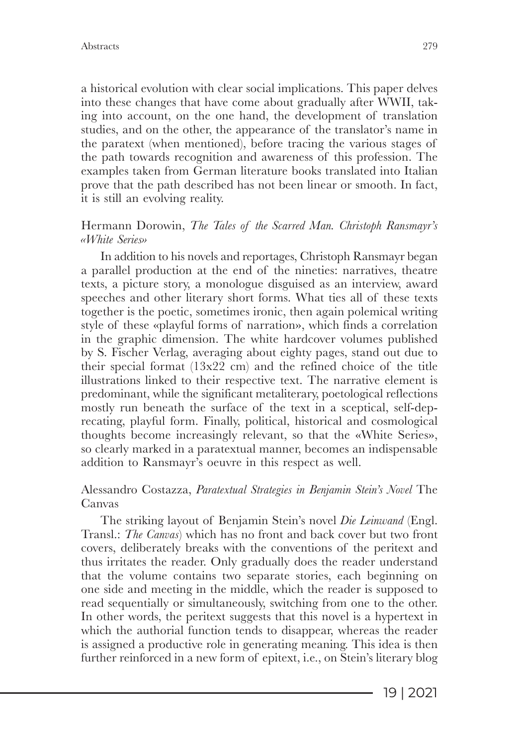a historical evolution with clear social implications. This paper delves into these changes that have come about gradually after WWII, taking into account, on the one hand, the development of translation studies, and on the other, the appearance of the translator's name in the paratext (when mentioned), before tracing the various stages of the path towards recognition and awareness of this profession. The examples taken from German literature books translated into Italian prove that the path described has not been linear or smooth. In fact, it is still an evolving reality.

### Hermann Dorowin, *The Tales of the Scarred Man. Christoph Ransmayr's «White Series»*

In addition to his novels and reportages, Christoph Ransmayr began a parallel production at the end of the nineties: narratives, theatre texts, a picture story, a monologue disguised as an interview, award speeches and other literary short forms. What ties all of these texts together is the poetic, sometimes ironic, then again polemical writing style of these «playful forms of narration», which finds a correlation in the graphic dimension. The white hardcover volumes published by S. Fischer Verlag, averaging about eighty pages, stand out due to their special format (13x22 cm) and the refined choice of the title illustrations linked to their respective text. The narrative element is predominant, while the significant metaliterary, poetological reflections mostly run beneath the surface of the text in a sceptical, self-deprecating, playful form. Finally, political, historical and cosmological thoughts become increasingly relevant, so that the «White Series», so clearly marked in a paratextual manner, becomes an indispensable addition to Ransmayr's oeuvre in this respect as well.

### Alessandro Costazza, *Paratextual Strategies in Benjamin Stein's Novel* The Canvas

The striking layout of Benjamin Stein's novel *Die Leinwand* (Engl. Transl.: *The Canvas*) which has no front and back cover but two front covers, deliberately breaks with the conventions of the peritext and thus irritates the reader. Only gradually does the reader understand that the volume contains two separate stories, each beginning on one side and meeting in the middle, which the reader is supposed to read sequentially or simultaneously, switching from one to the other. In other words, the peritext suggests that this novel is a hypertext in which the authorial function tends to disappear, whereas the reader is assigned a productive role in generating meaning. This idea is then further reinforced in a new form of epitext, i.e., on Stein's literary blog

19 | 2021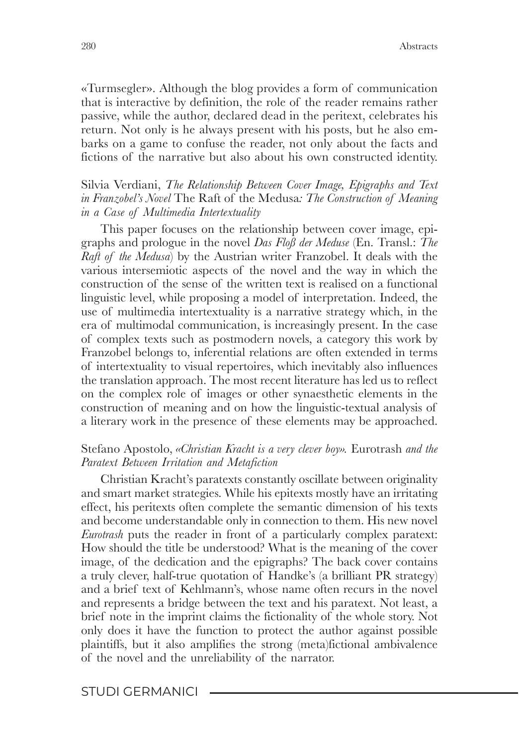«Turmsegler». Although the blog provides a form of communication that is interactive by definition, the role of the reader remains rather passive, while the author, declared dead in the peritext, celebrates his return. Not only is he always present with his posts, but he also embarks on a game to confuse the reader, not only about the facts and fictions of the narrative but also about his own constructed identity.

### Silvia Verdiani, *The Relationship Between Cover Image, Epigraphs and Text in Franzobel's Novel* The Raft of the Medusa*: The Construction of Meaning in a Case of Multimedia Intertextuality*

This paper focuses on the relationship between cover image, epigraphs and prologue in the novel *Das Floß der Meduse* (En. Transl.: *The Raft of the Medusa*) by the Austrian writer Franzobel. It deals with the various intersemiotic aspects of the novel and the way in which the construction of the sense of the written text is realised on a functional linguistic level, while proposing a model of interpretation. Indeed, the use of multimedia intertextuality is a narrative strategy which, in the era of multimodal communication, is increasingly present. In the case of complex texts such as postmodern novels, a category this work by Franzobel belongs to, inferential relations are often extended in terms of intertextuality to visual repertoires, which inevitably also influences the translation approach. The most recent literature has led us to reflect on the complex role of images or other synaesthetic elements in the construction of meaning and on how the linguistic-textual analysis of a literary work in the presence of these elements may be approached.

#### Stefano Apostolo, *«Christian Kracht is a very clever boy».* Eurotrash *and the Paratext Between Irritation and Metafiction*

Christian Kracht's paratexts constantly oscillate between originality and smart market strategies. While his epitexts mostly have an irritating effect, his peritexts often complete the semantic dimension of his texts and become understandable only in connection to them. His new novel *Eurotrash* puts the reader in front of a particularly complex paratext: How should the title be understood? What is the meaning of the cover image, of the dedication and the epigraphs? The back cover contains a truly clever, half-true quotation of Handke's (a brilliant PR strategy) and a brief text of Kehlmann's, whose name often recurs in the novel and represents a bridge between the text and his paratext. Not least, a brief note in the imprint claims the fictionality of the whole story. Not only does it have the function to protect the author against possible plaintiffs, but it also amplifies the strong (meta)fictional ambivalence of the novel and the unreliability of the narrator.

#### STUDI GERMANICI